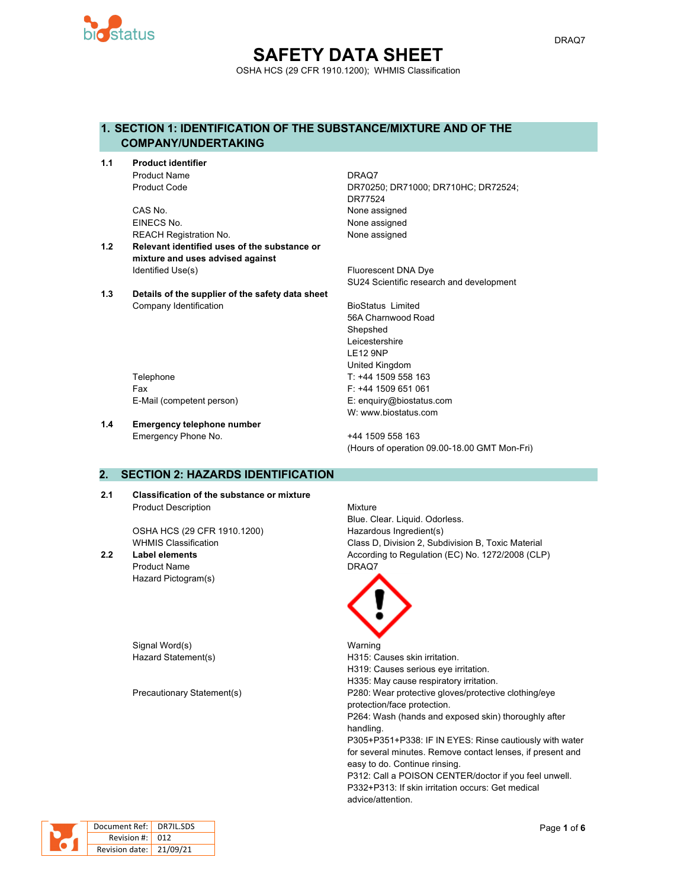

#### **SAFETY DATA SHEET** OSHA HCS (29 CFR 1910.1200); WHMIS Classification

#### **1. SECTION 1: IDENTIFICATION OF THE SUBSTANCE/MIXTURE AND OF THE COMPANY/UNDERTAKING**

**1.1 Product identifier** Product Name **DRAQ7** 

> CAS No. 2008 2012 12:30 None assigned EINECS No. None assigned REACH Registration No. None assigned

- **1.2 Relevant identified uses of the substance or mixture and uses advised against** Identified Use(s) The Contract of the Contract of The Fluorescent DNA Dye
- **1.3 Details of the supplier of the safety data sheet** Company Identification **BioStatus** Limited

Product Code DR70250; DR71000; DR710HC; DR72524; DR77524

SU24 Scientific research and development

56A Charnwood Road Shepshed Leicestershire LE12 9NP United Kingdom Telephone Telephone T: +44 1509 558 163 W: www.biostatus.com

Fax F: +44 1509 651 061 E-Mail (competent person) E: enquiry@biostatus.com

**1.4 Emergency telephone number** Emergency Phone No. 444 1509 558 163

(Hours of operation 09.00-18.00 GMT Mon-Fri)

#### **2. SECTION 2: HAZARDS IDENTIFICATION**

**2.1 Classification of the substance or mixture** Product Description **Mixture** 

OSHA HCS (29 CFR 1910.1200) Hazardous Ingredient(s)

Product Name **DRAQ7** Hazard Pictogram(s)

Signal Word(s) National Warning

Blue. Clear. Liquid. Odorless. WHMIS Classification **Class D, Division 2, Subdivision B, Toxic Material 2.2 Label elements** According to Regulation (EC) No. 1272/2008 (CLP)



Hazard Statement(s) The Statement Statement Statement Statement Statement Statement Statement Statement Statement Statement Statement Statement Statement Statement Statement Statement Statement Statement Statement Statemen H319: Causes serious eye irritation. H335: May cause respiratory irritation. Precautionary Statement(s) P280: Wear protective gloves/protective clothing/eye protection/face protection. P264: Wash (hands and exposed skin) thoroughly after handling. P305+P351+P338: IF IN EYES: Rinse cautiously with water for several minutes. Remove contact lenses, if present and easy to do. Continue rinsing. P312: Call a POISON CENTER/doctor if you feel unwell. P332+P313: If skin irritation occurs: Get medical advice/attention.

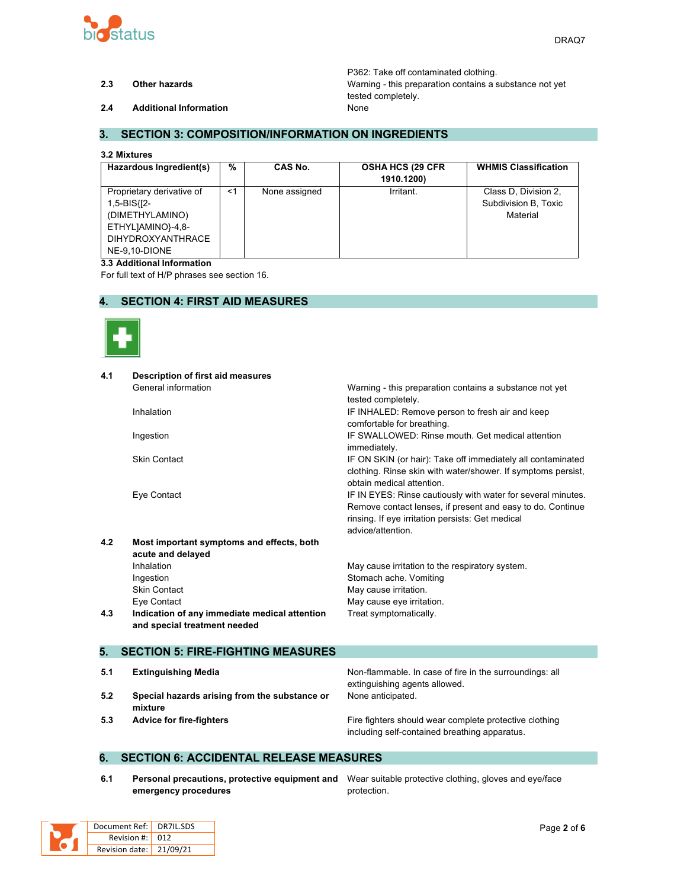

P362: Take off contaminated clothing. **2.3 Other hazards** Warning - this preparation contains a substance not yet tested completely.

**2.4 Additional Information** None

#### **3. SECTION 3: COMPOSITION/INFORMATION ON INGREDIENTS**

#### **3.2 Mixtures**

| Hazardous Ingredient(s)                                                                                                       | %     | CAS No.       | <b>OSHA HCS (29 CFR)</b><br>1910.1200) | <b>WHMIS Classification</b>                              |
|-------------------------------------------------------------------------------------------------------------------------------|-------|---------------|----------------------------------------|----------------------------------------------------------|
| Proprietary derivative of<br>1,5-BIS{[2-<br>(DIMETHYLAMINO)<br>ETHYLJAMINO}-4,8-<br><b>DIHYDROXYANTHRACE</b><br>NE-9.10-DIONE | $<$ 1 | None assigned | Irritant.                              | Class D, Division 2,<br>Subdivision B, Toxic<br>Material |

#### **3.3 Additional Information**

For full text of H/P phrases see section 16.

#### **4. SECTION 4: FIRST AID MEASURES**



| 4.1 | <b>Description of first aid measures</b>      |                                                                               |
|-----|-----------------------------------------------|-------------------------------------------------------------------------------|
|     | General information                           | Warning - this preparation contains a substance not yet                       |
|     |                                               | tested completely.                                                            |
|     | Inhalation                                    | IF INHALED: Remove person to fresh air and keep<br>comfortable for breathing. |
|     | Ingestion                                     | IF SWALLOWED: Rinse mouth. Get medical attention                              |
|     |                                               | immediately.                                                                  |
|     | <b>Skin Contact</b>                           | IF ON SKIN (or hair): Take off immediately all contaminated                   |
|     |                                               | clothing. Rinse skin with water/shower. If symptoms persist,                  |
|     |                                               | obtain medical attention.                                                     |
|     | Eye Contact                                   | IF IN EYES: Rinse cautiously with water for several minutes.                  |
|     |                                               | Remove contact lenses, if present and easy to do. Continue                    |
|     |                                               | rinsing. If eye irritation persists: Get medical                              |
|     |                                               | advice/attention.                                                             |
| 4.2 | Most important symptoms and effects, both     |                                                                               |
|     | acute and delayed                             |                                                                               |
|     | Inhalation                                    | May cause irritation to the respiratory system.                               |
|     | Ingestion                                     | Stomach ache. Vomiting                                                        |
|     | <b>Skin Contact</b>                           | May cause irritation.                                                         |
|     | Eye Contact                                   | May cause eye irritation.                                                     |
| 4.3 | Indication of any immediate medical attention | Treat symptomatically.                                                        |
|     | and special treatment needed                  |                                                                               |
| 5.  | <b>SECTION 5: FIRE-FIGHTING MEASURES</b>      |                                                                               |
|     |                                               |                                                                               |
| 5.1 | <b>Extinguishing Media</b>                    | Non-flammable. In case of fire in the surroundings: all                       |
| 5.2 | Special hazards arising from the substance or | extinguishing agents allowed.<br>None anticipated.                            |
|     |                                               |                                                                               |

**5.3 Advice for fire-fighters Fire fighters** Fire fighters should wear complete protective clothing including self-contained breathing apparatus.

#### **6. SECTION 6: ACCIDENTAL RELEASE MEASURES**

**6.1 Personal precautions, protective equipment and** Wear suitable protective clothing, gloves and eye/face **emergency procedures**

protection.

|  | Document Ref: DR7IL.SDS |  |
|--|-------------------------|--|
|  | Revision #: 012         |  |
|  | Revision date: 21/09/21 |  |

**mixture**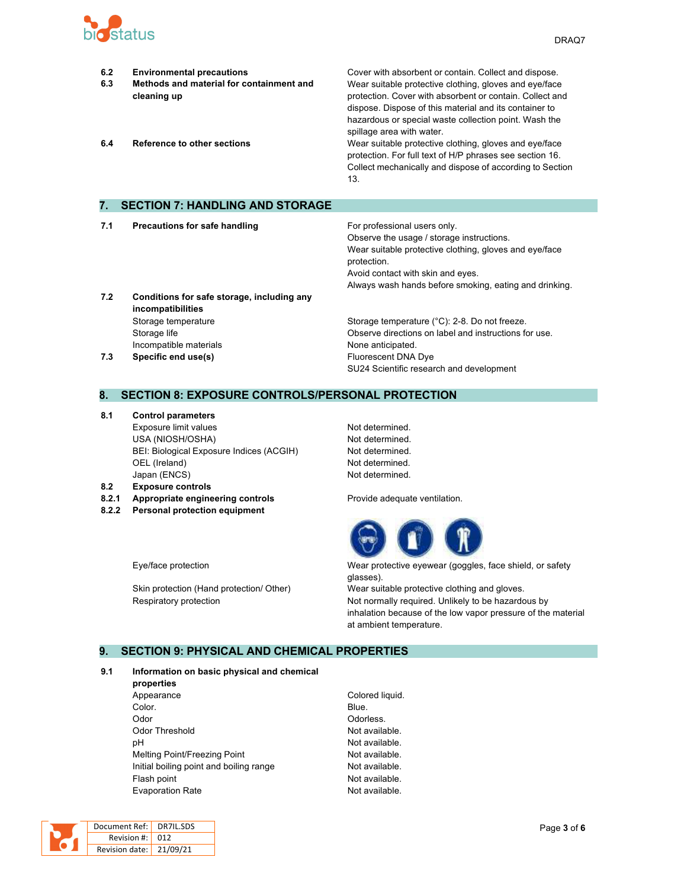

| 6.2<br>6.3<br>6.4 | <b>Environmental precautions</b><br>Methods and material for containment and<br>cleaning up<br><b>Reference to other sections</b> | Cover with absorbent or contain. Collect and dispose.<br>Wear suitable protective clothing, gloves and eye/face<br>protection. Cover with absorbent or contain. Collect and<br>dispose. Dispose of this material and its container to<br>hazardous or special waste collection point. Wash the<br>spillage area with water.<br>Wear suitable protective clothing, gloves and eye/face<br>protection. For full text of H/P phrases see section 16.<br>Collect mechanically and dispose of according to Section<br>13. |
|-------------------|-----------------------------------------------------------------------------------------------------------------------------------|----------------------------------------------------------------------------------------------------------------------------------------------------------------------------------------------------------------------------------------------------------------------------------------------------------------------------------------------------------------------------------------------------------------------------------------------------------------------------------------------------------------------|
| 7.                | <b>SECTION 7: HANDLING AND STORAGE</b>                                                                                            |                                                                                                                                                                                                                                                                                                                                                                                                                                                                                                                      |
|                   |                                                                                                                                   |                                                                                                                                                                                                                                                                                                                                                                                                                                                                                                                      |
| 7.1               | <b>Precautions for safe handling</b>                                                                                              | For professional users only.<br>Observe the usage / storage instructions.<br>Wear suitable protective clothing, gloves and eye/face                                                                                                                                                                                                                                                                                                                                                                                  |

**7.2 Conditions for safe storage, including any incompatibilities** Storage temperature Storage temperature Storage temperature (°C): 2-8. Do not freeze. Storage life Observe directions on label and instructions for use. Incompatible materials **None anticipated**. **7.3 Specific end use(s) Eluorescent DNA Dye** 

# SU24 Scientific research and development

Always wash hands before smoking, eating and drinking.

Avoid contact with skin and eyes.

#### **8. SECTION 8: EXPOSURE CONTROLS/PERSONAL PROTECTION**

- **8.1 Control parameters** Exposure limit values Not determined. USA (NIOSH/OSHA) Not determined. BEI: Biological Exposure Indices (ACGIH) Not determined. OEL (Ireland) Not determined. Japan (ENCS) Not determined.
- **8.2 Exposure controls**
- **8.2.1 Appropriate engineering controls** Provide adequate ventilation.
- **8.2.2 Personal protection equipment**

protection.



Eye/face protection Wear protective eyewear (goggles, face shield, or safety glasses).

Skin protection (Hand protection/ Other) Wear suitable protective clothing and gloves. Respiratory protection **Not normally required.** Unlikely to be hazardous by inhalation because of the low vapor pressure of the material at ambient temperature.

### **9. SECTION 9: PHYSICAL AND CHEMICAL PROPERTIES**

#### **9.1 Information on basic physical and chemical**

- **properties** Appearance Colored liquid. **Color.** Blue. Odor **Odorless**. Odor Threshold **Not available**. pH Not available. Melting Point/Freezing Point Not available. Initial boiling point and boiling range Not available. Flash point **Not available.** Evaporation Rate **Not available**.
	-

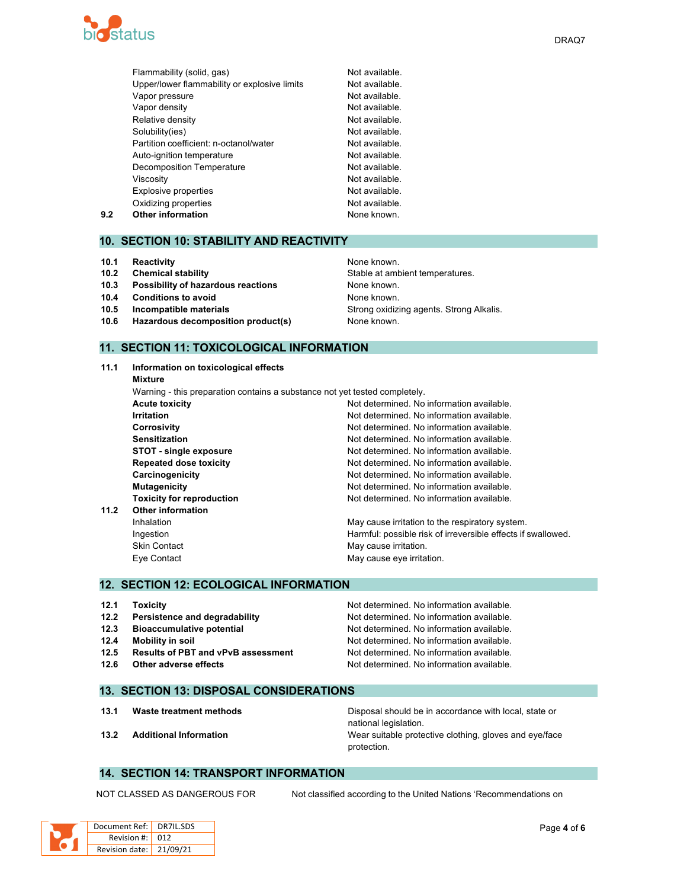

|     | Flammability (solid, gas)                    | Not available. |
|-----|----------------------------------------------|----------------|
|     | Upper/lower flammability or explosive limits | Not available. |
|     | Vapor pressure                               | Not available. |
|     | Vapor density                                | Not available. |
|     | Relative density                             | Not available. |
|     | Solubility(ies)                              | Not available. |
|     | Partition coefficient: n-octanol/water       | Not available. |
|     | Auto-ignition temperature                    | Not available. |
|     | <b>Decomposition Temperature</b>             | Not available. |
|     | Viscosity                                    | Not available. |
|     | <b>Explosive properties</b>                  | Not available. |
|     | Oxidizing properties                         | Not available. |
| 9.2 | <b>Other information</b>                     | None known.    |
|     |                                              |                |

#### **10. SECTION 10: STABILITY AND REACTIVITY**

- **10.1 Reactivity 10.1 Reactivity 10.1 Reactivity**
- 
- **10.3 Possibility of hazardous reactions** None known.
- **10.4 Conditions to avoid None known.**
- 
- **10.6 Hazardous decomposition product(s)** None known.

## **10.2 Chemical stability 10.2 Chemical stability** Stable at ambient temperatures. **10.5 Incompatible materials 10.5 Incompatible materials** Strong **Strong oxidizing agents. Strong Alkalis.**

#### **11. SECTION 11: TOXICOLOGICAL INFORMATION**

| 11.1 | Information on toxicological effects                                       |                                                              |  |  |
|------|----------------------------------------------------------------------------|--------------------------------------------------------------|--|--|
|      | Mixture                                                                    |                                                              |  |  |
|      | Warning - this preparation contains a substance not yet tested completely. |                                                              |  |  |
|      | <b>Acute toxicity</b>                                                      | Not determined. No information available.                    |  |  |
|      | <b>Irritation</b>                                                          | Not determined. No information available.                    |  |  |
|      | <b>Corrosivity</b>                                                         | Not determined. No information available.                    |  |  |
|      | <b>Sensitization</b>                                                       | Not determined. No information available.                    |  |  |
|      | <b>STOT - single exposure</b>                                              | Not determined. No information available.                    |  |  |
|      | <b>Repeated dose toxicity</b>                                              | Not determined. No information available.                    |  |  |
|      | Carcinogenicity                                                            | Not determined. No information available.                    |  |  |
|      | <b>Mutagenicity</b>                                                        | Not determined. No information available.                    |  |  |
|      | <b>Toxicity for reproduction</b>                                           | Not determined. No information available.                    |  |  |
| 11.2 | <b>Other information</b>                                                   |                                                              |  |  |
|      | Inhalation                                                                 | May cause irritation to the respiratory system.              |  |  |
|      | Ingestion                                                                  | Harmful: possible risk of irreversible effects if swallowed. |  |  |
|      | <b>Skin Contact</b>                                                        | May cause irritation.                                        |  |  |
|      | Eye Contact                                                                | May cause eye irritation.                                    |  |  |
|      |                                                                            |                                                              |  |  |

#### **12. SECTION 12: ECOLOGICAL INFORMATION**

| 12.1<br>12.2 | Toxicity<br>Persistence and degradability | Not determined. No information available.<br>Not determined. No information available. |
|--------------|-------------------------------------------|----------------------------------------------------------------------------------------|
| 12.3         | <b>Bioaccumulative potential</b>          | Not determined. No information available.                                              |
| 12.4         | Mobility in soil                          | Not determined. No information available.                                              |
| 12.5         | <b>Results of PBT and vPvB assessment</b> | Not determined. No information available.                                              |
| 12.6         | Other adverse effects                     | Not determined. No information available.                                              |

#### **13. SECTION 13: DISPOSAL CONSIDERATIONS**

**13.1 Waste treatment methods** Disposal should be in accordance with local, state or national legislation. **13.2 Additional Information** Wear suitable protective clothing, gloves and eye/face protection.

#### **14. SECTION 14: TRANSPORT INFORMATION**

NOT CLASSED AS DANGEROUS FOR Not classified according to the United Nations 'Recommendations on

| Document Ref: DR7IL.SDS |  |
|-------------------------|--|
| Revision #: 012         |  |
| Revision date: 21/09/21 |  |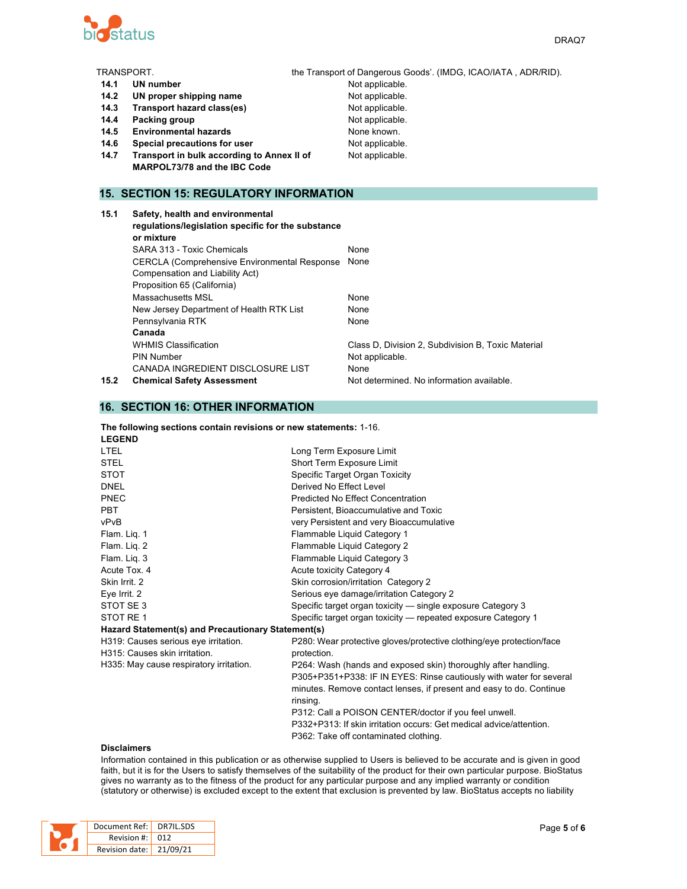

| TRANSPORT. |                                                                                        | the Transport of Dangerous Goods'. (IMDG, ICAO/IATA, ADR/RID). |
|------------|----------------------------------------------------------------------------------------|----------------------------------------------------------------|
| 14.1       | UN number                                                                              | Not applicable.                                                |
| 14.2       | UN proper shipping name                                                                | Not applicable.                                                |
| 14.3       | Transport hazard class(es)                                                             | Not applicable.                                                |
| 14.4       | Packing group                                                                          | Not applicable.                                                |
| 14.5       | <b>Environmental hazards</b>                                                           | None known.                                                    |
| 14.6       | Special precautions for user                                                           | Not applicable.                                                |
| 14.7       | Transport in bulk according to Annex II of                                             | Not applicable.                                                |
|            | MARPOL73/78 and the IBC Code                                                           |                                                                |
|            |                                                                                        |                                                                |
|            | <b>15. SECTION 15: REGULATORY INFORMATION</b>                                          |                                                                |
| 15.1       | Safety, health and environmental<br>regulations/legislation specific for the substance |                                                                |

|      | or mixture                                           |                                                    |
|------|------------------------------------------------------|----------------------------------------------------|
|      | SARA 313 - Toxic Chemicals                           | <b>None</b>                                        |
|      | <b>CERCLA (Comprehensive Environmental Response)</b> | None                                               |
|      | Compensation and Liability Act)                      |                                                    |
|      | Proposition 65 (California)                          |                                                    |
|      | Massachusetts MSL                                    | None                                               |
|      | New Jersey Department of Health RTK List             | None                                               |
|      | Pennsylvania RTK                                     | None                                               |
|      | Canada                                               |                                                    |
|      | <b>WHMIS Classification</b>                          | Class D, Division 2, Subdivision B, Toxic Material |
|      | <b>PIN Number</b>                                    | Not applicable.                                    |
|      | CANADA INGREDIENT DISCLOSURE LIST                    | None                                               |
| 15.2 | <b>Chemical Safety Assessment</b>                    | Not determined. No information available.          |
|      |                                                      |                                                    |

#### **16. SECTION 16: OTHER INFORMATION**

| The following sections contain revisions or new statements: 1-16. |  |  |
|-------------------------------------------------------------------|--|--|
| $\blacksquare$                                                    |  |  |

| Long Term Exposure Limit                                             |  |
|----------------------------------------------------------------------|--|
| Short Term Exposure Limit                                            |  |
| Specific Target Organ Toxicity                                       |  |
| Derived No Effect Level                                              |  |
| Predicted No Effect Concentration                                    |  |
| Persistent, Bioaccumulative and Toxic                                |  |
| very Persistent and very Bioaccumulative                             |  |
| Flammable Liquid Category 1                                          |  |
| Flammable Liquid Category 2                                          |  |
| Flammable Liquid Category 3                                          |  |
| Acute toxicity Category 4                                            |  |
| Skin corrosion/irritation Category 2                                 |  |
| Serious eye damage/irritation Category 2                             |  |
| Specific target organ toxicity - single exposure Category 3          |  |
| Specific target organ toxicity — repeated exposure Category 1        |  |
| Hazard Statement(s) and Precautionary Statement(s)                   |  |
| P280: Wear protective gloves/protective clothing/eye protection/face |  |
| protection.                                                          |  |
| P264: Wash (hands and exposed skin) thoroughly after handling.       |  |
| P305+P351+P338: IF IN EYES: Rinse cautiously with water for several  |  |
| minutes. Remove contact lenses, if present and easy to do. Continue  |  |
| rinsing.                                                             |  |
| P312: Call a POISON CENTER/doctor if you feel unwell.                |  |
| P332+P313: If skin irritation occurs: Get medical advice/attention.  |  |
| P362: Take off contaminated clothing.                                |  |
|                                                                      |  |

#### **Disclaimers**

Information contained in this publication or as otherwise supplied to Users is believed to be accurate and is given in good faith, but it is for the Users to satisfy themselves of the suitability of the product for their own particular purpose. BioStatus gives no warranty as to the fitness of the product for any particular purpose and any implied warranty or condition (statutory or otherwise) is excluded except to the extent that exclusion is prevented by law. BioStatus accepts no liability

|  | Document Ref:   DR7IL.SDS |  |
|--|---------------------------|--|
|  | Revision #: 012           |  |
|  | Revision date: 21/09/21   |  |